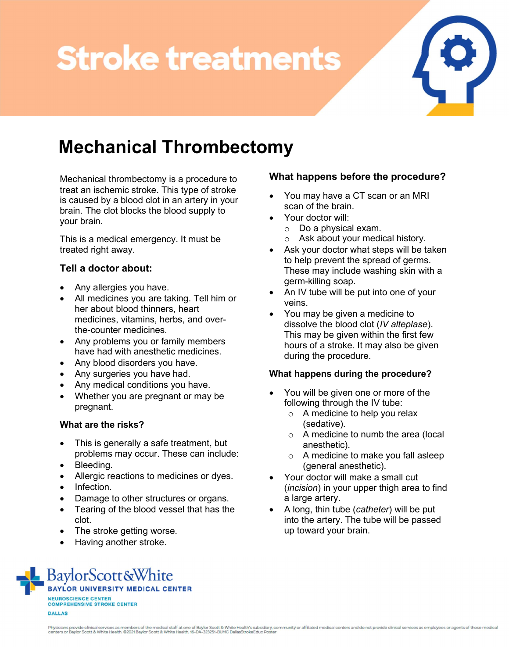# **Stroke treatments**



# Mechanical Thrombectomy

Mechanical thrombectomy is a procedure to treat an ischemic stroke. This type of stroke is caused by a blood clot in an artery in your brain. The clot blocks the blood supply to your brain.

This is a medical emergency. It must be treated right away.

# Tell a doctor about:

- Any allergies you have.
- All medicines you are taking. Tell him or her about blood thinners, heart medicines, vitamins, herbs, and overthe-counter medicines.
- Any problems you or family members have had with anesthetic medicines.
- Any blood disorders you have.
- Any surgeries you have had.
- Any medical conditions you have.
- Whether you are pregnant or may be pregnant.

### What are the risks?

- This is generally a safe treatment, but problems may occur. These can include:
- Bleeding.
- Allergic reactions to medicines or dyes.
- Infection.
- Damage to other structures or organs.
- Tearing of the blood vessel that has the clot.
- The stroke getting worse.
- Having another stroke.

# What happens before the procedure?

- You may have a CT scan or an MRI scan of the brain.
- Your doctor will:
	- o Do a physical exam.
		- o Ask about your medical history.
- Ask your doctor what steps will be taken to help prevent the spread of germs. These may include washing skin with a germ-killing soap.
- An IV tube will be put into one of your veins.
- You may be given a medicine to dissolve the blood clot (IV alteplase). This may be given within the first few hours of a stroke. It may also be given during the procedure.

### What happens during the procedure?

- You will be given one or more of the following through the IV tube:
	- $\circ$  A medicine to help you relax (sedative).
	- o A medicine to numb the area (local anesthetic).
	- o A medicine to make you fall asleep (general anesthetic).
- Your doctor will make a small cut (incision) in your upper thigh area to find a large artery.
- A long, thin tube (catheter) will be put into the artery. The tube will be passed up toward your brain.

BaylorScott&White **BAYLOR UNIVERSITY MEDICAL CENTER** NEUROSCIENCE CENTER **COMPREHENSIVE STROKE CENTER DALLAS**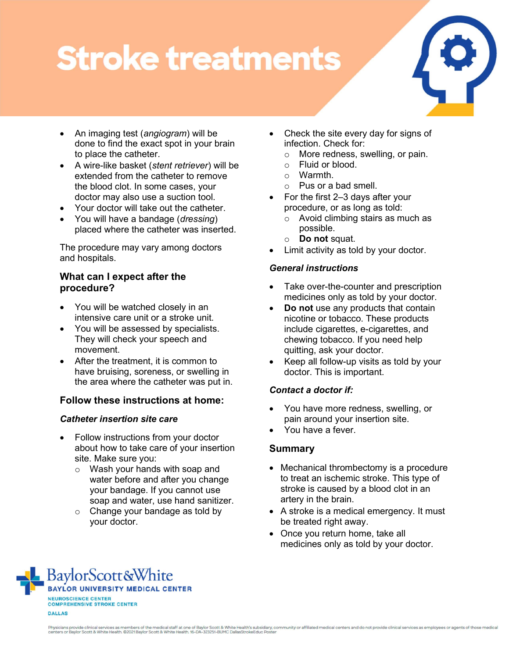# **Stroke treatments**



- An imaging test (angiogram) will be done to find the exact spot in your brain to place the catheter.
- A wire-like basket (stent retriever) will be extended from the catheter to remove the blood clot. In some cases, your doctor may also use a suction tool.
- Your doctor will take out the catheter.
- You will have a bandage (*dressing*) placed where the catheter was inserted.

The procedure may vary among doctors and hospitals.

### What can I expect after the procedure?

- You will be watched closely in an intensive care unit or a stroke unit.
- You will be assessed by specialists. They will check your speech and movement.
- After the treatment, it is common to have bruising, soreness, or swelling in the area where the catheter was put in.

# Follow these instructions at home:

### Catheter insertion site care

- Follow instructions from your doctor about how to take care of your insertion site. Make sure you:
	- o Wash your hands with soap and water before and after you change your bandage. If you cannot use soap and water, use hand sanitizer.
	- o Change your bandage as told by your doctor.
- Check the site every day for signs of infection. Check for:
	- o More redness, swelling, or pain.
	- o Fluid or blood.
	- o Warmth.
	- o Pus or a bad smell.
- For the first 2–3 days after your procedure, or as long as told:
	- o Avoid climbing stairs as much as possible.
	- o **Do not squat.**
- Limit activity as told by your doctor.

### General instructions

- Take over-the-counter and prescription medicines only as told by your doctor.
- Do not use any products that contain nicotine or tobacco. These products include cigarettes, e-cigarettes, and chewing tobacco. If you need help quitting, ask your doctor.
- Keep all follow-up visits as told by your doctor. This is important.

### Contact a doctor if:

- You have more redness, swelling, or pain around your insertion site.
- You have a fever.

# Summary

- Mechanical thrombectomy is a procedure to treat an ischemic stroke. This type of stroke is caused by a blood clot in an artery in the brain.
- A stroke is a medical emergency. It must be treated right away.
- Once you return home, take all medicines only as told by your doctor.